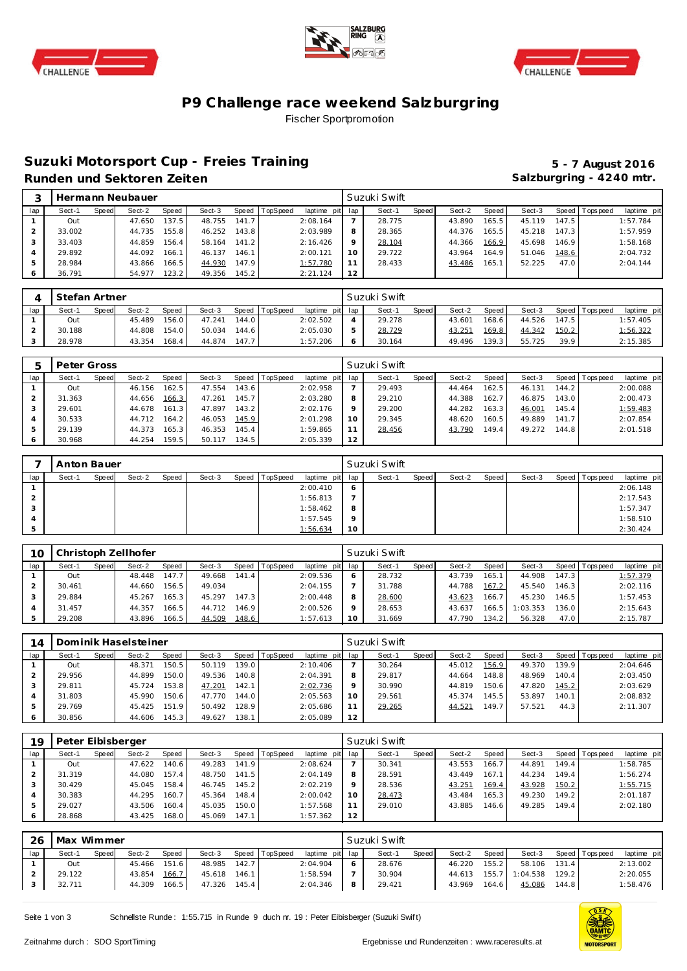





# **P9 Challenge race weekend Salzburgring** Fischer Sportpromotion

## **Suzuki Motorsport Cup - Freies Training 5 - 7 August 2016** Runden und Sektoren Zeiten **Salzburgring - 4240 mtr.** Salzburgring - 4240 mtr.

| 3  |        |       | Hermann Neubauer |       |        |       |          |                 |         | Suzuki Swift |       |        |       |        |       |                 |             |
|----|--------|-------|------------------|-------|--------|-------|----------|-----------------|---------|--------------|-------|--------|-------|--------|-------|-----------------|-------------|
| ap | Sect-1 | Speed | Sect-2           | Speed | Sect-3 | Speed | TopSpeed | laptime pit lap |         | Sect-1       | Speed | Sect-2 | Speed | Sect-3 |       | Speed Tops peed | laptime pit |
|    | Out    |       | 47.650           | 137.5 | 48.755 | 141.7 |          | 2:08.164        |         | 28.775       |       | 43.890 | 165.5 | 45.119 | 147.5 |                 | 1:57.784    |
|    | 33.002 |       | 44.735           | 155.8 | 46.252 | 143.8 |          | 2:03.989        | 8       | 28.365       |       | 44.376 | 165.5 | 45.218 | 147.3 |                 | 1:57.959    |
|    | 33.403 |       | 44.859           | 156.4 | 58.164 | 141.2 |          | 2:16.426        | $\circ$ | 28.104       |       | 44.366 | 166.9 | 45.698 | 146.9 |                 | 1:58.168    |
|    | 29.892 |       | 44.092           | 166.1 | 46.137 | 146.1 |          | 2:00.121        | 10      | 29.722       |       | 43.964 | 164.9 | 51.046 | 148.6 |                 | 2:04.732    |
|    | 28.984 |       | 43.866           | 166.5 | 44.930 | 147.9 |          | 1:57.780        |         | 28.433       |       | 43.486 | 165.1 | 52.225 | 47.0  |                 | 2:04.144    |
|    | 36.791 |       | 54.977           | 123.2 | 49.356 | 145.2 |          | 2:21.124        | 12      |              |       |        |       |        |       |                 |             |

|     | Stefan Artner |              |        |       |        |       |                |                 | Suzuki Swift |       |        |       |        |       |                 |             |
|-----|---------------|--------------|--------|-------|--------|-------|----------------|-----------------|--------------|-------|--------|-------|--------|-------|-----------------|-------------|
| lap | Sect-1        | <b>Speed</b> | Sect-2 | Speed | Sect-3 |       | Speed TopSpeed | laptime pit lap | Sect-1       | Speed | Sect-2 | Speed | Sect-3 |       | Speed Tops peed | laptime pit |
|     | Out           |              | 45.489 | 156.0 | 47.241 | 144.0 |                | 2:02.502        | 29.278       |       | 43.601 | 168.6 | 44.526 | 147.5 |                 | 1:57.405    |
|     | 30.188        |              | 44.808 | 154.0 | 50.034 | 144.6 |                | 2:05.030        | 28.729       |       | 43.251 | 169.8 | 44.342 | 150.2 |                 | 1:56.322    |
|     | 28.978        |              | 43.354 | 168.4 | 44.874 | 147.7 |                | 1:57.206        | 30.164       |       | 49.496 | 139.3 | 55.725 | 39.9  |                 | 2:15.385    |

|     | Peter Gross |       |        |       |        |       |          |             |     | Suzuki Swift |              |        |       |        |         |                   |             |
|-----|-------------|-------|--------|-------|--------|-------|----------|-------------|-----|--------------|--------------|--------|-------|--------|---------|-------------------|-------------|
| lap | Sect-1      | Speed | Sect-2 | Speed | Sect-3 | Speed | TopSpeed | laptime pit | lap | Sect-1       | <b>Speed</b> | Sect-2 | Speed | Sect-3 | Speed I | <b>T</b> ops peed | laptime pit |
|     | Out         |       | 46.156 | 162.5 | 47.554 | 143.6 |          | 2:02.958    |     | 29.493       |              | 44.464 | 162.5 | 46.131 | 144.2   |                   | 2:00.088    |
|     | 31.363      |       | 44.656 | 166.3 | 47.261 | 145.7 |          | 2:03.280    | 8   | 29.210       |              | 44.388 | 162.7 | 46.875 | 143.0   |                   | 2:00.473    |
|     | 29.601      |       | 44.678 | 161.3 | 47.897 | 143.2 |          | 2:02.176    | Q   | 29.200       |              | 44.282 | 163.3 | 46.001 | 145.4   |                   | 1:59.483    |
|     | 30.533      |       | 44.712 | 164.2 | 46.053 | 145.9 |          | 2:01.298    | 10  | 29.345       |              | 48.620 | 160.5 | 49.889 | 141.7   |                   | 2:07.854    |
|     | 29.139      |       | 44.373 | 165.3 | 46.353 | 145.4 |          | 1:59.865    | 11  | 28.456       |              | 43.790 | 149.4 | 49.272 | 144.8   |                   | 2:01.518    |
|     | 30.968      |       | 44.254 | 159.5 | 50.117 | 134.5 |          | 2:05.339    | 12  |              |              |        |       |        |         |                   |             |

|     | Anton Bauer |       |        |       |        |                |                 |         | Suzuki Swift |       |        |       |        |                 |             |
|-----|-------------|-------|--------|-------|--------|----------------|-----------------|---------|--------------|-------|--------|-------|--------|-----------------|-------------|
| lap | Sect-1      | Speed | Sect-2 | Speed | Sect-3 | Speed TopSpeed | laptime pit lap |         | Sect-1       | Speed | Sect-2 | Speed | Sect-3 | Speed Tops peed | laptime pit |
|     |             |       |        |       |        |                | 2:00.410        | $\circ$ |              |       |        |       |        |                 | 2:06.148    |
| ∠   |             |       |        |       |        |                | 1:56.813        |         |              |       |        |       |        |                 | 2:17.543    |
|     |             |       |        |       |        |                | 1:58.462        | 8       |              |       |        |       |        |                 | 1:57.347    |
| 4   |             |       |        |       |        |                | 1:57.545        | $\circ$ |              |       |        |       |        |                 | 1:58.510    |
| 5   |             |       |        |       |        |                | 1:56.634        | 10      |              |       |        |       |        |                 | 2:30.424    |

| 1C  |        |       | Christoph Zellhofer |              |        |       |          |                 |   | Suzuki Swift |         |        |       |         |                    |                |             |
|-----|--------|-------|---------------------|--------------|--------|-------|----------|-----------------|---|--------------|---------|--------|-------|---------|--------------------|----------------|-------------|
| lap | Sect-1 | Speed | Sect-2              | <b>Speed</b> | Sect-3 | Speed | TopSpeed | laptime pit lap |   | Sect-1       | Speed I | Sect-2 | Speed | Sect-3  |                    | Speed Topspeed | laptime pit |
|     | Out    |       | 48.448              | 147.7        | 49.668 | 141.4 |          | 2:09.536        |   | 28.732       |         | 43.739 | 165.  | 44.908  | 147.3 <sub>1</sub> |                | 1:57.379    |
|     | 30.461 |       | 44.660              | 156.5        | 49.034 |       |          | 2:04.155        |   | 31.788       |         | 44.788 | 167.2 | 45.540  | 146.3              |                | 2:02.116    |
|     | 29.884 |       | 45.267              | 165.3        | 45.297 | 147.3 |          | 2:00.448        | 8 | 28.600       |         | 43.623 | 166.7 | 45.230  | 146.5              |                | 1:57.453    |
|     | 31.457 |       | 44.357              | 166.5        | 44.712 | 146.9 |          | 2:00.526        |   | 28.653       |         | 43.637 | 166.5 | :03.353 | 136.0              |                | 2:15.643    |
|     | 29.208 |       | 43.896              | 166.5        | 44.509 | 148.6 |          | 1:57.613        |   | 31.669       |         | 47.790 | 134.2 | 56.328  | 47.0               |                | 2:15.787    |

| 14  |        |       | Dominik Haselsteiner |       |        |       |                |                 |         | Suzuki Swift |       |        |                    |        |       |                |             |
|-----|--------|-------|----------------------|-------|--------|-------|----------------|-----------------|---------|--------------|-------|--------|--------------------|--------|-------|----------------|-------------|
| lap | Sect-1 | Speed | Sect-2               | Speed | Sect-3 |       | Speed TopSpeed | laptime pit lap |         | Sect-1       | Speed | Sect-2 | Speed              | Sect-3 |       | Speed Topspeed | laptime pit |
|     | Out    |       | 48.371               | 150.5 | 50.119 | 139.0 |                | 2:10.406        |         | 30.264       |       | 45.012 | 156.9              | 49.370 | 139.9 |                | 2:04.646    |
|     | 29.956 |       | 44.899               | 150.0 | 49.536 | 140.8 |                | 2:04.391        | 8       | 29.817       |       | 44.664 | 148.8              | 48.969 | 140.4 |                | 2:03.450    |
|     | 29.811 |       | 45.724               | 153.8 | 47.201 | 142.1 |                | 2:02.736        | $\circ$ | 30.990       |       | 44.819 | 150.6              | 47.820 | 145.2 |                | 2:03.629    |
|     | 31.803 |       | 45.990               | 150.6 | 47.770 | 144.0 |                | 2:05.563        | 10      | 29.561       |       | 45.374 | 145.5              | 53.897 | 140.1 |                | 2:08.832    |
|     | 29.769 |       | 45.425               | 151.9 | 50.492 | 128.9 |                | 2:05.686        |         | 29.265       |       | 44.521 | 149.7 <sub>1</sub> | 57.521 | 44.3  |                | 2:11.307    |
| 6   | 30.856 |       | 44.606               | 145.3 | 49.627 | 138.1 |                | 2:05.089        | 12      |              |       |        |                    |        |       |                |             |

| 19  | Peter Eibisberger |       |        |       |        |       |                |             |     | Suzuki Swift |       |        |       |        |       |                |             |
|-----|-------------------|-------|--------|-------|--------|-------|----------------|-------------|-----|--------------|-------|--------|-------|--------|-------|----------------|-------------|
| lap | Sect-1            | Speed | Sect-2 | Speed | Sect-3 |       | Speed TopSpeed | laptime pit | lap | Sect-1       | Speed | Sect-2 | Speed | Sect-3 |       | Speed Topspeed | laptime pit |
|     | Out               |       | 47.622 | 140.6 | 49.283 | 141.9 |                | 2:08.624    |     | 30.341       |       | 43.553 | 166.7 | 44.891 | 149.4 |                | 1:58.785    |
|     | 31.319            |       | 44.080 | 157.4 | 48.750 | 141.5 |                | 2:04.149    | 8   | 28.591       |       | 43.449 | 167.1 | 44.234 | 149.4 |                | 1:56.274    |
|     | 30.429            |       | 45.045 | 158.4 | 46.745 | 145.2 |                | 2:02.219    | Q   | 28.536       |       | 43.251 | 169.4 | 43.928 | 150.2 |                | 1:55.715    |
|     | 30.383            |       | 44.295 | 160.7 | 45.364 | 148.4 |                | 2:00.042    | 10  | 28.473       |       | 43.484 | 165.3 | 49.230 | 149.2 |                | 2:01.187    |
| 5   | 29.027            |       | 43.506 | 160.4 | 45.035 | 150.0 |                | 1:57.568    | 11  | 29.010       |       | 43.885 | 146.6 | 49.285 | 149.4 |                | 2:02.180    |
| 6   | 28.868            |       | 43.425 | 168.0 | 45.069 | 147.1 |                | 1:57.362    | 12  |              |       |        |       |        |       |                |             |

| -26 | Max Wimmer |       |        |       |        |       |                |                 | Suzuki Swift |         |        |         |          |       |                   |             |
|-----|------------|-------|--------|-------|--------|-------|----------------|-----------------|--------------|---------|--------|---------|----------|-------|-------------------|-------------|
| lap | Sect-1     | Speed | Sect-2 | Speed | Sect-3 |       | Speed TopSpeed | laptime pit lap | Sect-1       | Speed I | Sect-2 | Speed I | Sect-3   |       | Speed   Tops peed | laptime pit |
|     | Out        |       | 45.466 | 151.6 | 48.985 | 142.7 |                | 2:04.904        | 28.676       |         | 46.220 | 155.21  | 58.106   | 131.4 |                   | 2:13.002    |
|     | 29.122     |       | 43.854 | 166.7 | 45.618 | 146.1 |                | 1:58.594        | 30.904       |         | 44.613 | 155.7   | 1:04.538 | 129.2 |                   | 2:20.055    |
|     | 32.711     |       | 44.309 | 166.5 | 47.326 | 145.4 |                | 2:04.346        | 29.421       |         | 43.969 | 164.6   | 45.086   | 144.8 |                   | 1:58.476    |

Seite 1 von 3 Schnellste Runde : 1:55.715 in Runde 9 duch nr. 19 : Peter Eibisberger (Suzuki Swift)

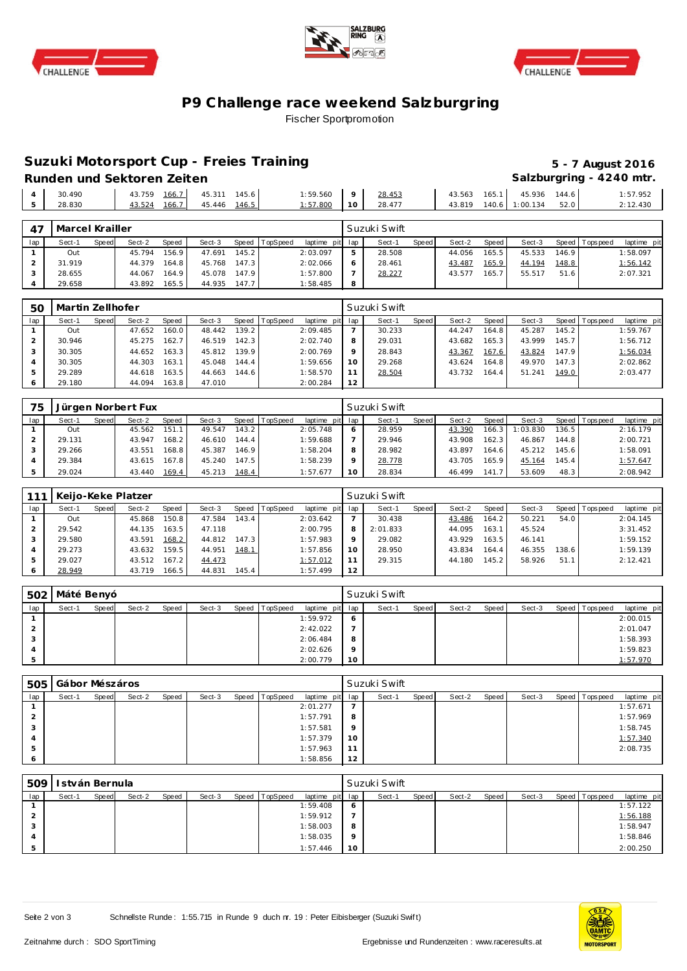





# **P9 Challenge race weekend Salzburgring** Fischer Sportpromotion

# **Suzuki Motorsport Cup - Freies Training 5 - 7 August 2016**

Runden und Sektoren Zeiten **Munden und Sektoren Zeiten Salzburgring - 4240 mtr.** 

| 30.490 | $\cdots$<br>43.759<br><u>166. .</u> | 145.6<br>$\sim$<br>45.31    | : 59.560 |           | 28.453         | $\sim$<br>13.503 | $\sim$ $\sim$ $\sim$<br>165. | 936<br>45.  | 144.6              | : 57.952      |
|--------|-------------------------------------|-----------------------------|----------|-----------|----------------|------------------|------------------------------|-------------|--------------------|---------------|
| 28.830 | $\cdots$<br>$-$<br>$+3.524$<br>I66. | <u>146.5</u><br>.446<br>45. | 57.800   | 10<br>. . | 00177<br>28.47 | .3.819           | 140                          | 134<br>: ററ | $\sqrt{2}$<br>⊃∠.∪ | 120<br>12.4JU |
|        |                                     |                             |          |           |                |                  |                              |             |                    |               |

|     | Marcel Krailler |              |        |              |        |       |                 |                 |   | Suzuki Swift |       |        |       |        |       |                   |             |
|-----|-----------------|--------------|--------|--------------|--------|-------|-----------------|-----------------|---|--------------|-------|--------|-------|--------|-------|-------------------|-------------|
| lap | Sect-1          | <b>Speed</b> | Sect-2 | <b>Speed</b> | Sect-3 | Speed | <b>TopSpeed</b> | laptime pit lap |   | Sect-1       | Speed | Sect-2 | Speed | Sect-3 |       | Speed   Tops peed | laptime pit |
|     | Out             |              | 45.794 | 156.9        | 47.691 | 145.2 |                 | 2:03.097        |   | 28.508       |       | 44.056 | 165.5 | 45.533 | 146.9 |                   | 1:58.097    |
|     | 31.919          |              | 44.379 | 164.8        | 45.768 | 147.3 |                 | 2:02.066        |   | 28.461       |       | 43.487 | 165.9 | 44.194 | 148.8 |                   | 1:56.142    |
|     | 28.655          |              | 44.067 | 164.9        | 45.078 | 147.9 |                 | 1:57.800        |   | 28.227       |       | 43.577 | 165.7 | 55.517 | 51.6  |                   | 2:07.321    |
|     | 29.658          |              | 43.892 | 165.5        | 44.935 | 147.7 |                 | :58.485         | 8 |              |       |        |       |        |       |                   |             |

| 5C  | Martin Zellhofer |       |        |              |        |                    |          |                 |         | Suzuki Swift |       |        |       |        |       |                |             |
|-----|------------------|-------|--------|--------------|--------|--------------------|----------|-----------------|---------|--------------|-------|--------|-------|--------|-------|----------------|-------------|
| lap | Sect-1           | Speed | Sect-2 | <b>Speed</b> | Sect-3 | Speed I            | TopSpeed | laptime pit lap |         | Sect-1       | Speed | Sect-2 | Speed | Sect-3 |       | Speed Topspeed | laptime pit |
|     | Out              |       | 47.652 | 160.0        | 48.442 | 139.2 <sub>1</sub> |          | 2:09.485        |         | 30.233       |       | 44.247 | 164.8 | 45.287 | 145.2 |                | 1:59.767    |
|     | 30.946           |       | 45.275 | 162.7        | 46.519 | 142.3              |          | 2:02.740        | 8       | 29.031       |       | 43.682 | 165.3 | 43.999 | 145.7 |                | 1:56.712    |
|     | 30.305           |       | 44.652 | 163.3        | 45.812 | 139.9              |          | 2:00.769        | $\circ$ | 28.843       |       | 43.367 | 167.6 | 43.824 | 147.9 |                | 1:56.034    |
|     | 30.305           |       | 44.303 | 163.1        | 45.048 | 144.4              |          | 1:59.656        | 10      | 29.268       |       | 43.624 | 164.8 | 49.970 | 147.3 |                | 2:02.862    |
|     | 29.289           |       | 44.618 | 163.5        | 44.663 | 144.6              |          | 1:58.570        | 11      | 28.504       |       | 43.732 | 164.4 | 51.241 | 149.0 |                | 2:03.477    |
|     | 29.180           |       | 44.094 | 163.8        | 47.010 |                    |          | 2:00.284        | 12      |              |       |        |       |        |       |                |             |

| 75  |        |       | Jürgen Norbert Fux |       |        |       |                |             |         | Suzuki Swift |              |        |              |          |       |                |             |
|-----|--------|-------|--------------------|-------|--------|-------|----------------|-------------|---------|--------------|--------------|--------|--------------|----------|-------|----------------|-------------|
| lap | Sect-1 | Speed | Sect-2             | Speed | Sect-3 |       | Speed TopSpeed | laptime pit | lap     | Sect-1       | <b>Speed</b> | Sect-2 | <b>Speed</b> | Sect-3   |       | Speed Topspeed | laptime pit |
|     | Out    |       | 45.562             | 151.1 | 49.547 | 143.2 |                | 2:05.748    | 6       | 28.959       |              | 43.39C | 166.3        | : 03.830 | 136.5 |                | 2:16.179    |
|     | 29.131 |       | 43.947             | 168.2 | 46.610 | 144.4 |                | 1:59.688    |         | 29.946       |              | 43.908 | 162.3        | 46.867   | 144.8 |                | 2:00.721    |
|     | 29.266 |       | 43.551             | 168.8 | 45.387 | 146.9 |                | 1:58.204    | 8       | 28.982       |              | 43.897 | 164.6        | 45.212   | 145.6 |                | 1:58.091    |
|     | 29.384 |       | 43.615             | 167.8 | 45.240 | 147.5 |                | 1:58.239    | $\circ$ | 28.778       |              | 43.705 | 165.9        | 45.164   | 145.4 |                | 1:57.647    |
|     | 29.024 |       | 43.440             | 169.4 | 45.213 | 148.4 |                | 1:57.677    | 10      | 28.834       |              | 46.499 | 141.7        | 53.609   | 48.3  |                | 2:08.942    |

|     |        |       | Keijo-Keke Platzer |              |        |       |                |             |     | Suzuki Swift |              |        |       |        |       |                |             |
|-----|--------|-------|--------------------|--------------|--------|-------|----------------|-------------|-----|--------------|--------------|--------|-------|--------|-------|----------------|-------------|
| lap | Sect-1 | Speed | Sect-2             | <b>Speed</b> | Sect-3 |       | Speed TopSpeed | laptime pit | lap | Sect-1       | <b>Speed</b> | Sect-2 | Speed | Sect-3 |       | Speed Topspeed | laptime pit |
|     | Out    |       | 45.868             | 150.8        | 47.584 | 143.4 |                | 2:03.642    |     | 30.438       |              | 43.486 | 164.2 | 50.221 | 54.0  |                | 2:04.145    |
|     | 29.542 |       | 44.135             | 163.5        | 47.118 |       |                | 2:00.795    | 8   | 2:01.833     |              | 44.095 | 163.1 | 45.524 |       |                | 3:31.452    |
|     | 29.580 |       | 43.591             | 168.2        | 44.812 | 147.3 |                | 1:57.983    | Q   | 29.082       |              | 43.929 | 163.5 | 46.141 |       |                | 1:59.152    |
|     | 29.273 |       | 43.632             | 159.5        | 44.951 | 148.1 |                | 1:57.856    | 10  | 28.950       |              | 43.834 | 164.4 | 46.355 | 138.6 |                | 1:59.139    |
|     | 29.027 |       | 43.512             | 167.2        | 44.473 |       |                | 1:57.012    | 11  | 29.315       |              | 44.180 | 145.2 | 58.926 | 51.1  |                | 2:12.421    |
| 6   | 28.949 |       | 43.719             | 166.5        | 44.831 | 145.4 |                | 1:57.499    | 12  |              |              |        |       |        |       |                |             |

|     | 502   Máté Benyó |       |        |       |        |       |                 |                 |         | Suzuki Swift |       |        |       |        |                   |             |
|-----|------------------|-------|--------|-------|--------|-------|-----------------|-----------------|---------|--------------|-------|--------|-------|--------|-------------------|-------------|
| lap | Sect-1           | Speed | Sect-2 | Speed | Sect-3 | Speed | <b>TopSpeed</b> | laptime pit lap |         | Sect-1       | Speed | Sect-2 | Speed | Sect-3 | Speed   Tops peed | laptime pit |
|     |                  |       |        |       |        |       |                 | 1:59.972        | $\circ$ |              |       |        |       |        |                   | 2:00.015    |
|     |                  |       |        |       |        |       |                 | 2:42.022        |         |              |       |        |       |        |                   | 2:01.047    |
|     |                  |       |        |       |        |       |                 | 2:06.484        | 8       |              |       |        |       |        |                   | 1:58.393    |
|     |                  |       |        |       |        |       |                 | 2:02.626        | $\circ$ |              |       |        |       |        |                   | 1:59.823    |
|     |                  |       |        |       |        |       |                 | 2:00.779        | 10      |              |       |        |       |        |                   | 1:57.970    |

| 505 | Gábor Mészáros |       |        |       |        |                |                 |         | Suzuki Swift |       |        |       |        |                |             |
|-----|----------------|-------|--------|-------|--------|----------------|-----------------|---------|--------------|-------|--------|-------|--------|----------------|-------------|
| lap | Sect-1         | Speed | Sect-2 | Speed | Sect-3 | Speed TopSpeed | laptime pit lap |         | Sect-1       | Speed | Sect-2 | Speed | Sect-3 | Speed Topspeed | laptime pit |
|     |                |       |        |       |        |                | 2:01.277        |         |              |       |        |       |        |                | 1:57.671    |
|     |                |       |        |       |        |                | 1:57.791        | 8       |              |       |        |       |        |                | 1:57.969    |
|     |                |       |        |       |        |                | 1:57.581        | $\circ$ |              |       |        |       |        |                | 1:58.745    |
|     |                |       |        |       |        |                | 1:57.379        | 10      |              |       |        |       |        |                | 1:57.340    |
|     |                |       |        |       |        |                | 1:57.963        | -1.1    |              |       |        |       |        |                | 2:08.735    |
|     |                |       |        |       |        |                | 1:58.856        | 12      |              |       |        |       |        |                |             |

| 509 |        | I stván Bernula |        |       |        |                |                 |         | Suzuki Swift |       |        |       |        |                 |             |
|-----|--------|-----------------|--------|-------|--------|----------------|-----------------|---------|--------------|-------|--------|-------|--------|-----------------|-------------|
| lap | Sect-1 | Speed           | Sect-2 | Speed | Sect-3 | Speed TopSpeed | laptime pit lap |         | Sect-1       | Speed | Sect-2 | Speed | Sect-3 | Speed Tops peed | laptime pit |
|     |        |                 |        |       |        |                | 1:59.408        | $\circ$ |              |       |        |       |        |                 | 1:57.122    |
|     |        |                 |        |       |        |                | 1:59.912        |         |              |       |        |       |        |                 | 1:56.188    |
| 3   |        |                 |        |       |        |                | 1:58.003        | 8       |              |       |        |       |        |                 | 1:58.947    |
|     |        |                 |        |       |        |                | 1:58.035        | $\circ$ |              |       |        |       |        |                 | 1:58.846    |
|     |        |                 |        |       |        |                | 1:57.446        | 10      |              |       |        |       |        |                 | 2:00.250    |